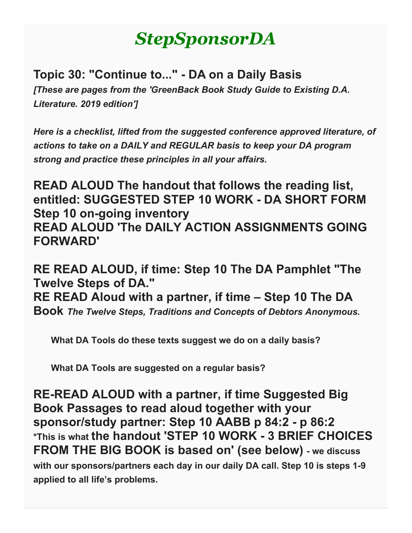# *StepSponsorDA*

**Topic 30: "Continue to..." - DA on a Daily Basis** *[These are pages from the 'GreenBack Book Study Guide to Existing D.A. Literature. 2019 edition']*

*Here is a checklist, lifted from the suggested conference approved literature, of actions to take on a DAILY and REGULAR basis to keep your DA program strong and practice these principles in all your affairs.*

**READ ALOUD The handout that follows the reading list, entitled: SUGGESTED STEP 10 WORK - DA SHORT FORM Step 10 on-going inventory READ ALOUD 'The DAILY ACTION ASSIGNMENTS GOING FORWARD'**

**RE READ ALOUD, if time: Step 10 The DA Pamphlet "The Twelve Steps of DA." RE READ Aloud with a partner, if time – Step 10 The DA Book** *The Twelve Steps, Traditions and Concepts of Debtors Anonymous.*

 **What DA Tools do these texts suggest we do on a daily basis?**

 **What DA Tools are suggested on a regular basis?**

**RE-READ ALOUD with a partner, if time Suggested Big Book Passages to read aloud together with your sponsor/study partner: Step 10 AABB p 84:2 - p 86:2 \*This is what the handout 'STEP 10 WORK - 3 BRIEF CHOICES FROM THE BIG BOOK is based on' (see below) - we discuss with our sponsors/partners each day in our daily DA call. Step 10 is steps 1-9 applied to all life's problems.**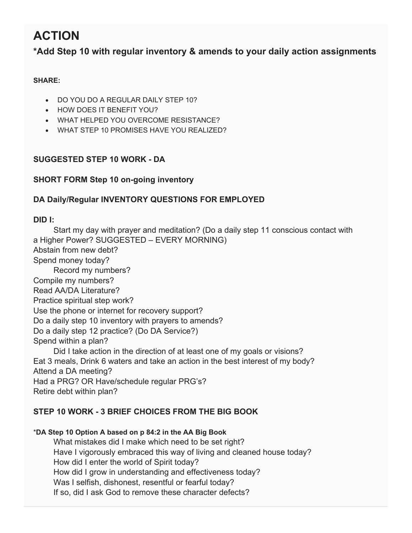## **ACTION**

**\*Add Step 10 with regular inventory & amends to your daily action assignments**

## **SHARE:**

- DO YOU DO A REGULAR DAILY STEP 10?
- HOW DOES IT BENEFIT YOU?
- WHAT HELPED YOU OVERCOME RESISTANCE?
- WHAT STEP 10 PROMISES HAVE YOU REALIZED?

## **SUGGESTED STEP 10 WORK - DA**

## **SHORT FORM Step 10 on-going inventory**

## **DA Daily/Regular INVENTORY QUESTIONS FOR EMPLOYED**

## **DID I:**

 Start my day with prayer and meditation? (Do a daily step 11 conscious contact with a Higher Power? SUGGESTED – EVERY MORNING) Abstain from new debt? Spend money today? Record my numbers? Compile my numbers? Read AA/DA Literature? Practice spiritual step work? Use the phone or internet for recovery support? Do a daily step 10 inventory with prayers to amends? Do a daily step 12 practice? (Do DA Service?) Spend within a plan? Did I take action in the direction of at least one of my goals or visions? Eat 3 meals, Drink 6 waters and take an action in the best interest of my body? Attend a DA meeting? Had a PRG? OR Have/schedule regular PRG's?

Retire debt within plan?

## **STEP 10 WORK - 3 BRIEF CHOICES FROM THE BIG BOOK**

## \***DA Step 10 Option A based on p 84:2 in the AA Big Book**

 What mistakes did I make which need to be set right? Have I vigorously embraced this way of living and cleaned house today? How did I enter the world of Spirit today? How did I grow in understanding and effectiveness today? Was I selfish, dishonest, resentful or fearful today? If so, did I ask God to remove these character defects?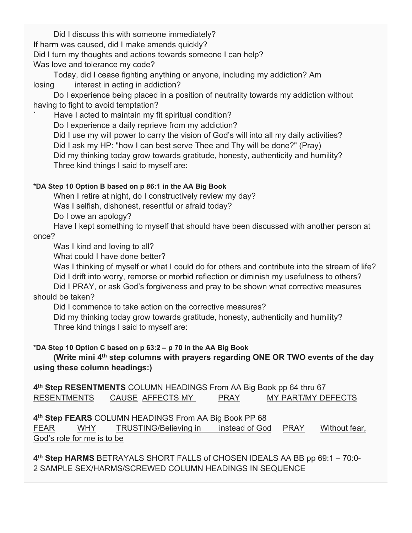Did I discuss this with someone immediately? If harm was caused, did I make amends quickly? Did I turn my thoughts and actions towards someone I can help? Was love and tolerance my code?

 Today, did I cease fighting anything or anyone, including my addiction? Am losing interest in acting in addiction?

 Do I experience being placed in a position of neutrality towards my addiction without having to fight to avoid temptation?

Have I acted to maintain my fit spiritual condition?

Do I experience a daily reprieve from my addiction?

 Did I use my will power to carry the vision of God's will into all my daily activities? Did I ask my HP: "how I can best serve Thee and Thy will be done?" (Pray) Did my thinking today grow towards gratitude, honesty, authenticity and humility? Three kind things I said to myself are:

## **\*DA Step 10 Option B based on p 86:1 in the AA Big Book**

When I retire at night, do I constructively review my day?

Was I selfish, dishonest, resentful or afraid today?

Do I owe an apology?

 Have I kept something to myself that should have been discussed with another person at once?

Was I kind and loving to all?

What could I have done better?

Was I thinking of myself or what I could do for others and contribute into the stream of life?

Did I drift into worry, remorse or morbid reflection or diminish my usefulness to others?

 Did I PRAY, or ask God's forgiveness and pray to be shown what corrective measures should be taken?

Did I commence to take action on the corrective measures?

 Did my thinking today grow towards gratitude, honesty, authenticity and humility? Three kind things I said to myself are:

## **\*DA Step 10 Option C based on p 63:2 – p 70 in the AA Big Book**

 **(Write mini 4th step columns with prayers regarding ONE OR TWO events of the day using these column headings:)**

**4th Step RESENTMENTS** COLUMN HEADINGS From AA Big Book pp 64 thru 67 RESENTMENTS CAUSE AFFECTS MY PRAY MY PART/MY DEFECTS

**4th Step FEARS** COLUMN HEADINGS From AA Big Book PP 68

FEAR WHY TRUSTING/Believing in instead of God PRAY Without fear, God's role for me is to be

**4th Step HARMS** BETRAYALS SHORT FALLS of CHOSEN IDEALS AA BB pp 69:1 – 70:0- 2 SAMPLE SEX/HARMS/SCREWED COLUMN HEADINGS IN SEQUENCE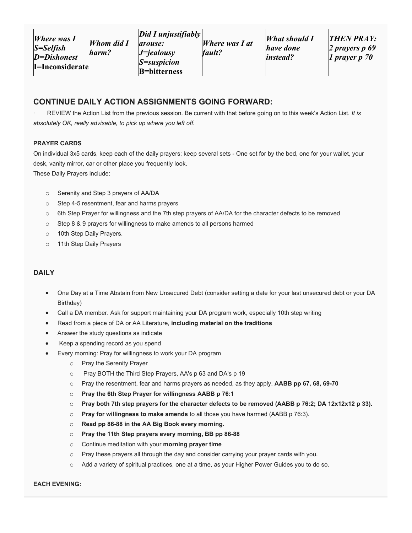| <i>Where was I</i><br>S=Selfish<br>D=Dishonest<br>I=Inconsiderate | Whom did I<br>harm? | $Did I$ unjustifiably<br>arouse:<br>$J =$ <i>jealousy</i><br>$S =$ suspicion<br><b>B</b> =bitterness | <i>Where was I at</i><br>fault? | <i>What should I</i><br>have done<br><i>instead?</i> | <b>THEN PRAY:</b><br>2 prayers $p\,69$<br>1 prayer $p \, 70$ |
|-------------------------------------------------------------------|---------------------|------------------------------------------------------------------------------------------------------|---------------------------------|------------------------------------------------------|--------------------------------------------------------------|
|-------------------------------------------------------------------|---------------------|------------------------------------------------------------------------------------------------------|---------------------------------|------------------------------------------------------|--------------------------------------------------------------|

### **CONTINUE DAILY ACTION ASSIGNMENTS GOING FORWARD:**

· REVIEW the Action List from the previous session. Be current with that before going on to this week's Action List. *It is absolutely OK, really advisable, to pick up where you left off.*

#### **PRAYER CARDS**

On individual 3x5 cards, keep each of the daily prayers; keep several sets - One set for by the bed, one for your wallet, your desk, vanity mirror, car or other place you frequently look. These Daily Prayers include:

- o Serenity and Step 3 prayers of AA/DA
- o Step 4-5 resentment, fear and harms prayers
- o 6th Step Prayer for willingness and the 7th step prayers of AA/DA for the character defects to be removed
- o Step 8 & 9 prayers for willingness to make amends to all persons harmed
- o 10th Step Daily Prayers.
- o 11th Step Daily Prayers

#### **DAILY**

- One Day at a Time Abstain from New Unsecured Debt (consider setting a date for your last unsecured debt or your DA Birthday)
- Call a DA member. Ask for support maintaining your DA program work, especially 10th step writing
- Read from a piece of DA or AA Literature, **including material on the traditions**
- Answer the study questions as indicate
- Keep a spending record as you spend
	- Every morning: Pray for willingness to work your DA program
		- o Pray the Serenity Prayer
		- o Pray BOTH the Third Step Prayers, AA's p 63 and DA's p 19
		- o Pray the resentment, fear and harms prayers as needed, as they apply. **AABB pp 67, 68, 69-70**
		- o **Pray the 6th Step Prayer for willingness AABB p 76:1**
		- o **Pray both 7th step prayers for the character defects to be removed (AABB p 76:2; DA 12x12x12 p 33).**
		- o **Pray for willingness to make amends** to all those you have harmed (AABB p 76:3).
		- o **Read pp 86-88 in the AA Big Book every morning.**
		- o **Pray the 11th Step prayers every morning, BB pp 86-88**
		- o Continue meditation with your **morning prayer time**
		- $\circ$  Pray these prayers all through the day and consider carrying your prayer cards with you.
		- o Add a variety of spiritual practices, one at a time, as your Higher Power Guides you to do so.

#### **EACH EVENING:**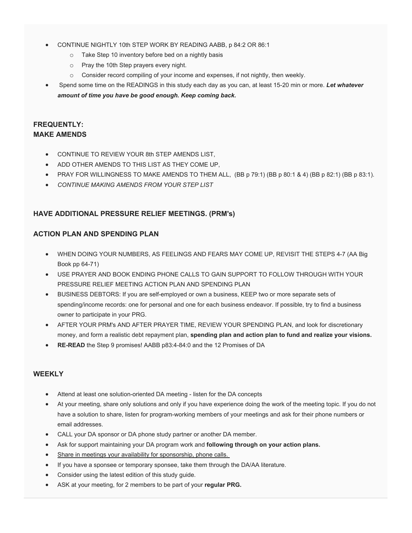- CONTINUE NIGHTLY 10th STEP WORK BY READING AABB, p 84:2 OR 86:1
	- o Take Step 10 inventory before bed on a nightly basis
	- o Pray the 10th Step prayers every night.
	- $\circ$  Consider record compiling of your income and expenses, if not nightly, then weekly.
- Spend some time on the READINGS in this study each day as you can, at least 15-20 min or more. *Let whatever amount of time you have be good enough. Keep coming back.*

#### **FREQUENTLY: MAKE AMENDS**

- CONTINUE TO REVIEW YOUR 8th STEP AMENDS LIST,
- ADD OTHER AMENDS TO THIS LIST AS THEY COME UP,
- PRAY FOR WILLINGNESS TO MAKE AMENDS TO THEM ALL, (BB p 79:1) (BB p 80:1 & 4) (BB p 82:1) (BB p 83:1).
- *CONTINUE MAKING AMENDS FROM YOUR STEP LIST*

#### **HAVE ADDITIONAL PRESSURE RELIEF MEETINGS. (PRM's)**

#### **ACTION PLAN AND SPENDING PLAN**

- WHEN DOING YOUR NUMBERS, AS FEELINGS AND FEARS MAY COME UP, REVISIT THE STEPS 4-7 (AA Big Book pp 64-71)
- USE PRAYER AND BOOK ENDING PHONE CALLS TO GAIN SUPPORT TO FOLLOW THROUGH WITH YOUR PRESSURE RELIEF MEETING ACTION PLAN AND SPENDING PLAN
- BUSINESS DEBTORS: If you are self-employed or own a business, KEEP two or more separate sets of spending/income records: one for personal and one for each business endeavor. If possible, try to find a business owner to participate in your PRG.
- AFTER YOUR PRM's AND AFTER PRAYER TIME, REVIEW YOUR SPENDING PLAN, and look for discretionary money, and form a realistic debt repayment plan, **spending plan and action plan to fund and realize your visions.**
- **RE-READ** the Step 9 promises! AABB p83:4-84:0 and the 12 Promises of DA

#### **WEEKLY**

- Attend at least one solution-oriented DA meeting listen for the DA concepts
- At your meeting, share only solutions and only if you have experience doing the work of the meeting topic. If you do not have a solution to share, listen for program-working members of your meetings and ask for their phone numbers or email addresses.
- CALL your DA sponsor or DA phone study partner or another DA member.
- Ask for support maintaining your DA program work and **following through on your action plans.**
- Share in meetings your availability for sponsorship, phone calls.
- If you have a sponsee or temporary sponsee, take them through the DA/AA literature.
- Consider using the latest edition of this study guide.
- ASK at your meeting, for 2 members to be part of your **regular PRG.**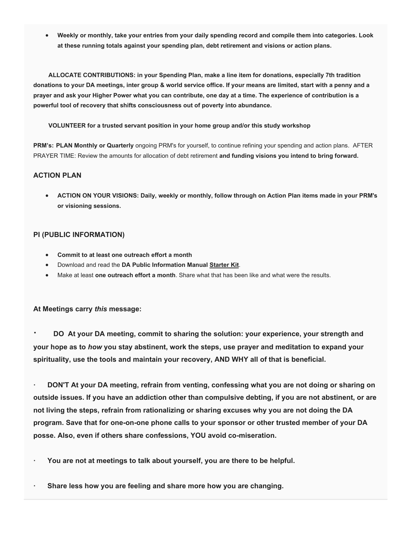• **Weekly or monthly, take your entries from your daily spending record and compile them into categories. Look at these running totals against your spending plan, debt retirement and visions or action plans.**

 **ALLOCATE CONTRIBUTIONS: in your Spending Plan, make a line item for donations, especially 7th tradition donations to your DA meetings, inter group & world service office. If your means are limited, start with a penny and a prayer and ask your Higher Power what you can contribute, one day at a time. The experience of contribution is a powerful tool of recovery that shifts consciousness out of poverty into abundance.**

#### **VOLUNTEER for a trusted servant position in your home group and/or this study workshop**

**PRM's: PLAN Monthly or Quarterly** ongoing PRM's for yourself, to continue refining your spending and action plans. AFTER PRAYER TIME: Review the amounts for allocation of debt retirement **and funding visions you intend to bring forward.**

#### **ACTION PLAN**

• **ACTION ON YOUR VISIONS: Daily, weekly or monthly, follow through on Action Plan items made in your PRM's or visioning sessions.**

#### **PI (PUBLIC INFORMATION)**

- **Commit to at least one outreach effort a month**
- Download and read the **DA Public Information Manual Starter Kit**.
- Make at least **one outreach effort a month**. Share what that has been like and what were the results.

#### **At Meetings carry** *this* **message:**

**· DO At your DA meeting, commit to sharing the solution: your experience, your strength and your hope as to** *how* **you stay abstinent, work the steps, use prayer and meditation to expand your spirituality, use the tools and maintain your recovery, AND WHY all of that is beneficial.**

**· DON'T At your DA meeting, refrain from venting, confessing what you are not doing or sharing on outside issues. If you have an addiction other than compulsive debting, if you are not abstinent, or are not living the steps, refrain from rationalizing or sharing excuses why you are not doing the DA program. Save that for one-on-one phone calls to your sponsor or other trusted member of your DA posse. Also, even if others share confessions, YOU avoid co-miseration.**

- **· You are not at meetings to talk about yourself, you are there to be helpful.**
- **· Share less how you are feeling and share more how you are changing.**